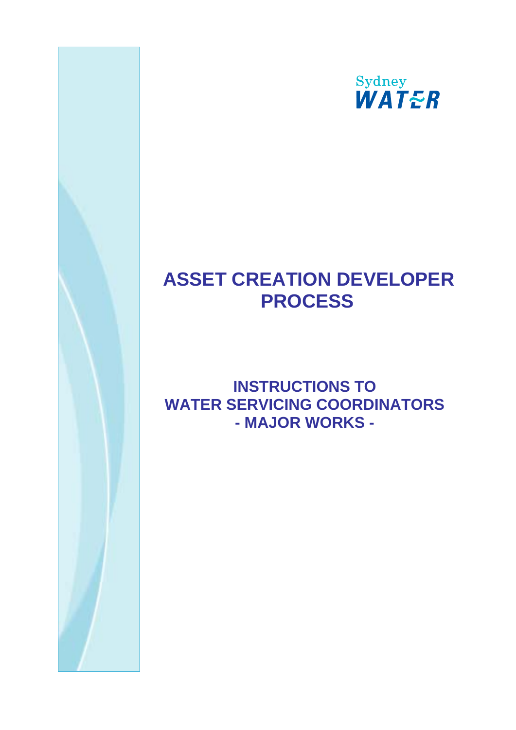

# **ASSET CREATION DEVELOPER PROCESS**

## **INSTRUCTIONS TO WATER SERVICING COORDINATORS - MAJOR WORKS -**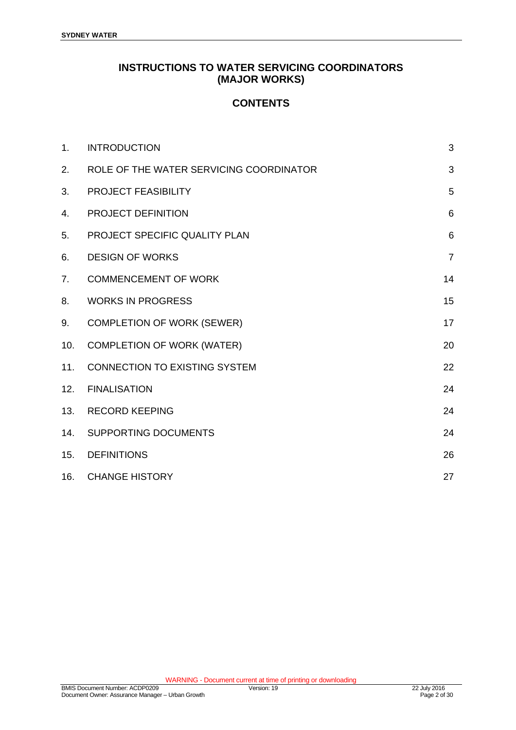## **INSTRUCTIONS TO WATER SERVICING COORDINATORS (MAJOR WORKS)**

## **CONTENTS**

| 1 <sub>1</sub> | <b>INTRODUCTION</b>                     | 3               |
|----------------|-----------------------------------------|-----------------|
| 2.             | ROLE OF THE WATER SERVICING COORDINATOR | 3               |
| 3.             | PROJECT FEASIBILITY                     | 5               |
| 4.             | PROJECT DEFINITION                      | $6\phantom{1}6$ |
| 5.             | PROJECT SPECIFIC QUALITY PLAN           | $6\phantom{1}6$ |
| 6.             | <b>DESIGN OF WORKS</b>                  | $\overline{7}$  |
| 7.             | <b>COMMENCEMENT OF WORK</b>             | 14              |
| 8.             | <b>WORKS IN PROGRESS</b>                | 15              |
| 9.             | <b>COMPLETION OF WORK (SEWER)</b>       | 17              |
| 10.            | <b>COMPLETION OF WORK (WATER)</b>       | 20              |
| 11.            | <b>CONNECTION TO EXISTING SYSTEM</b>    | 22              |
| 12.            | <b>FINALISATION</b>                     | 24              |
| 13.            | <b>RECORD KEEPING</b>                   | 24              |
| 14.            | SUPPORTING DOCUMENTS                    | 24              |
| 15.            | <b>DEFINITIONS</b>                      | 26              |
| 16.            | <b>CHANGE HISTORY</b>                   | 27              |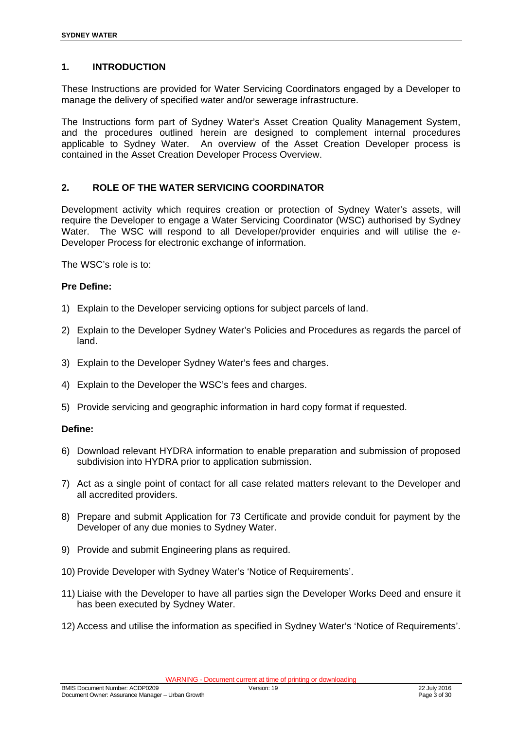#### **1. INTRODUCTION**

These Instructions are provided for Water Servicing Coordinators engaged by a Developer to manage the delivery of specified water and/or sewerage infrastructure.

The Instructions form part of Sydney Water's Asset Creation Quality Management System, and the procedures outlined herein are designed to complement internal procedures applicable to Sydney Water. An overview of the Asset Creation Developer process is contained in the Asset Creation Developer Process Overview.

#### **2. ROLE OF THE WATER SERVICING COORDINATOR**

Development activity which requires creation or protection of Sydney Water's assets, will require the Developer to engage a Water Servicing Coordinator (WSC) authorised by Sydney Water. The WSC will respond to all Developer/provider enquiries and will utilise the *e*-Developer Process for electronic exchange of information.

The WSC's role is to:

#### **Pre Define:**

- 1) Explain to the Developer servicing options for subject parcels of land.
- 2) Explain to the Developer Sydney Water's Policies and Procedures as regards the parcel of land.
- 3) Explain to the Developer Sydney Water's fees and charges.
- 4) Explain to the Developer the WSC's fees and charges.
- 5) Provide servicing and geographic information in hard copy format if requested.

#### **Define:**

- 6) Download relevant HYDRA information to enable preparation and submission of proposed subdivision into HYDRA prior to application submission.
- 7) Act as a single point of contact for all case related matters relevant to the Developer and all accredited providers.
- 8) Prepare and submit Application for 73 Certificate and provide conduit for payment by the Developer of any due monies to Sydney Water.
- 9) Provide and submit Engineering plans as required.
- 10) Provide Developer with Sydney Water's 'Notice of Requirements'.
- 11) Liaise with the Developer to have all parties sign the Developer Works Deed and ensure it has been executed by Sydney Water.
- 12) Access and utilise the information as specified in Sydney Water's 'Notice of Requirements'.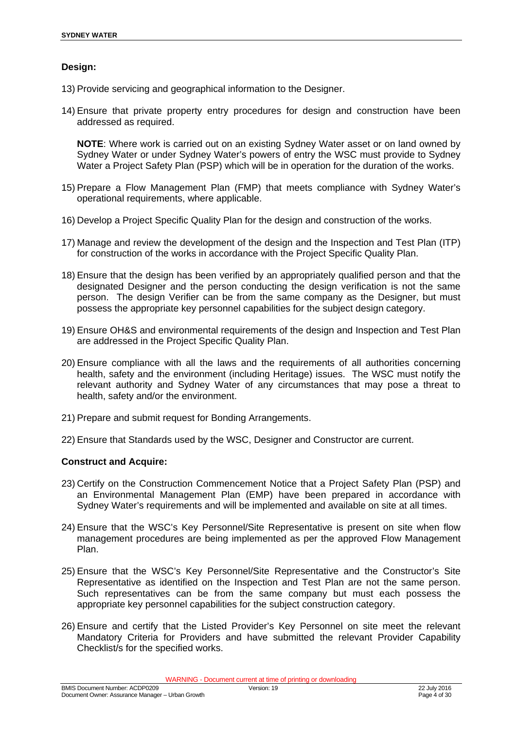#### **Design:**

- 13) Provide servicing and geographical information to the Designer.
- 14) Ensure that private property entry procedures for design and construction have been addressed as required.

**NOTE**: Where work is carried out on an existing Sydney Water asset or on land owned by Sydney Water or under Sydney Water's powers of entry the WSC must provide to Sydney Water a Project Safety Plan (PSP) which will be in operation for the duration of the works.

- 15) Prepare a Flow Management Plan (FMP) that meets compliance with Sydney Water's operational requirements, where applicable.
- 16) Develop a Project Specific Quality Plan for the design and construction of the works.
- 17) Manage and review the development of the design and the Inspection and Test Plan (ITP) for construction of the works in accordance with the Project Specific Quality Plan.
- 18) Ensure that the design has been verified by an appropriately qualified person and that the designated Designer and the person conducting the design verification is not the same person. The design Verifier can be from the same company as the Designer, but must possess the appropriate key personnel capabilities for the subject design category.
- 19) Ensure OH&S and environmental requirements of the design and Inspection and Test Plan are addressed in the Project Specific Quality Plan.
- 20) Ensure compliance with all the laws and the requirements of all authorities concerning health, safety and the environment (including Heritage) issues. The WSC must notify the relevant authority and Sydney Water of any circumstances that may pose a threat to health, safety and/or the environment.
- 21) Prepare and submit request for Bonding Arrangements.
- 22) Ensure that Standards used by the WSC, Designer and Constructor are current.

#### **Construct and Acquire:**

- 23) Certify on the Construction Commencement Notice that a Project Safety Plan (PSP) and an Environmental Management Plan (EMP) have been prepared in accordance with Sydney Water's requirements and will be implemented and available on site at all times.
- 24) Ensure that the WSC's Key Personnel/Site Representative is present on site when flow management procedures are being implemented as per the approved Flow Management Plan.
- 25) Ensure that the WSC's Key Personnel/Site Representative and the Constructor's Site Representative as identified on the Inspection and Test Plan are not the same person. Such representatives can be from the same company but must each possess the appropriate key personnel capabilities for the subject construction category.
- 26) Ensure and certify that the Listed Provider's Key Personnel on site meet the relevant Mandatory Criteria for Providers and have submitted the relevant Provider Capability Checklist/s for the specified works.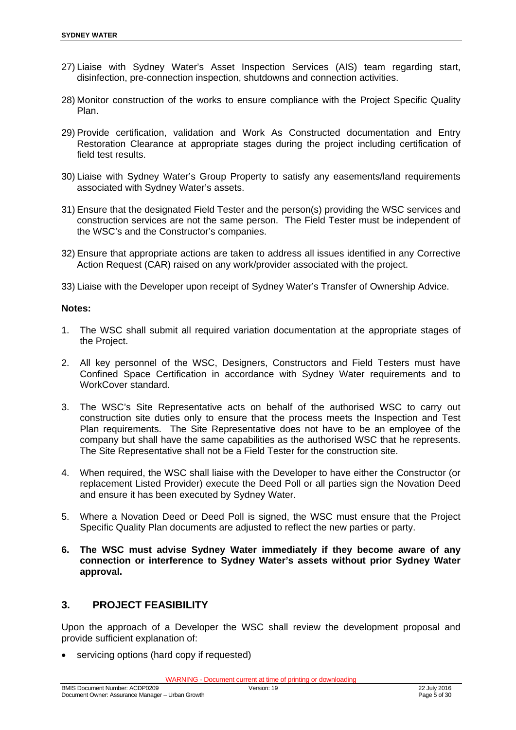- 27) Liaise with Sydney Water's Asset Inspection Services (AIS) team regarding start, disinfection, pre-connection inspection, shutdowns and connection activities.
- 28) Monitor construction of the works to ensure compliance with the Project Specific Quality Plan.
- 29) Provide certification, validation and Work As Constructed documentation and Entry Restoration Clearance at appropriate stages during the project including certification of field test results.
- 30) Liaise with Sydney Water's Group Property to satisfy any easements/land requirements associated with Sydney Water's assets.
- 31) Ensure that the designated Field Tester and the person(s) providing the WSC services and construction services are not the same person. The Field Tester must be independent of the WSC's and the Constructor's companies.
- 32) Ensure that appropriate actions are taken to address all issues identified in any Corrective Action Request (CAR) raised on any work/provider associated with the project.
- 33) Liaise with the Developer upon receipt of Sydney Water's Transfer of Ownership Advice.

#### **Notes:**

- 1. The WSC shall submit all required variation documentation at the appropriate stages of the Project.
- 2. All key personnel of the WSC, Designers, Constructors and Field Testers must have Confined Space Certification in accordance with Sydney Water requirements and to WorkCover standard.
- 3. The WSC's Site Representative acts on behalf of the authorised WSC to carry out construction site duties only to ensure that the process meets the Inspection and Test Plan requirements. The Site Representative does not have to be an employee of the company but shall have the same capabilities as the authorised WSC that he represents. The Site Representative shall not be a Field Tester for the construction site.
- 4. When required, the WSC shall liaise with the Developer to have either the Constructor (or replacement Listed Provider) execute the Deed Poll or all parties sign the Novation Deed and ensure it has been executed by Sydney Water.
- 5. Where a Novation Deed or Deed Poll is signed, the WSC must ensure that the Project Specific Quality Plan documents are adjusted to reflect the new parties or party.
- **6. The WSC must advise Sydney Water immediately if they become aware of any connection or interference to Sydney Water's assets without prior Sydney Water approval.**

## **3. PROJECT FEASIBILITY**

Upon the approach of a Developer the WSC shall review the development proposal and provide sufficient explanation of:

servicing options (hard copy if requested)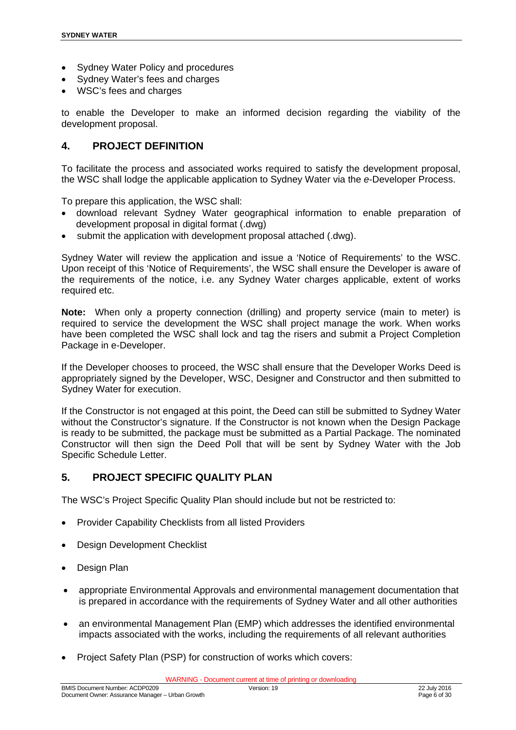- Sydney Water Policy and procedures
- Sydney Water's fees and charges
- WSC's fees and charges

to enable the Developer to make an informed decision regarding the viability of the development proposal.

#### **4. PROJECT DEFINITION**

To facilitate the process and associated works required to satisfy the development proposal, the WSC shall lodge the applicable application to Sydney Water via the *e*-Developer Process.

To prepare this application, the WSC shall:

- download relevant Sydney Water geographical information to enable preparation of development proposal in digital format (.dwg)
- submit the application with development proposal attached (.dwg).

Sydney Water will review the application and issue a 'Notice of Requirements' to the WSC. Upon receipt of this 'Notice of Requirements', the WSC shall ensure the Developer is aware of the requirements of the notice, i.e. any Sydney Water charges applicable, extent of works required etc.

**Note:** When only a property connection (drilling) and property service (main to meter) is required to service the development the WSC shall project manage the work. When works have been completed the WSC shall lock and tag the risers and submit a Project Completion Package in e-Developer.

If the Developer chooses to proceed, the WSC shall ensure that the Developer Works Deed is appropriately signed by the Developer, WSC, Designer and Constructor and then submitted to Sydney Water for execution.

If the Constructor is not engaged at this point, the Deed can still be submitted to Sydney Water without the Constructor's signature. If the Constructor is not known when the Design Package is ready to be submitted, the package must be submitted as a Partial Package. The nominated Constructor will then sign the Deed Poll that will be sent by Sydney Water with the Job Specific Schedule Letter.

#### **5. PROJECT SPECIFIC QUALITY PLAN**

The WSC's Project Specific Quality Plan should include but not be restricted to:

- Provider Capability Checklists from all listed Providers
- Design Development Checklist
- Design Plan
- appropriate Environmental Approvals and environmental management documentation that is prepared in accordance with the requirements of Sydney Water and all other authorities
- an environmental Management Plan (EMP) which addresses the identified environmental impacts associated with the works, including the requirements of all relevant authorities
- Project Safety Plan (PSP) for construction of works which covers: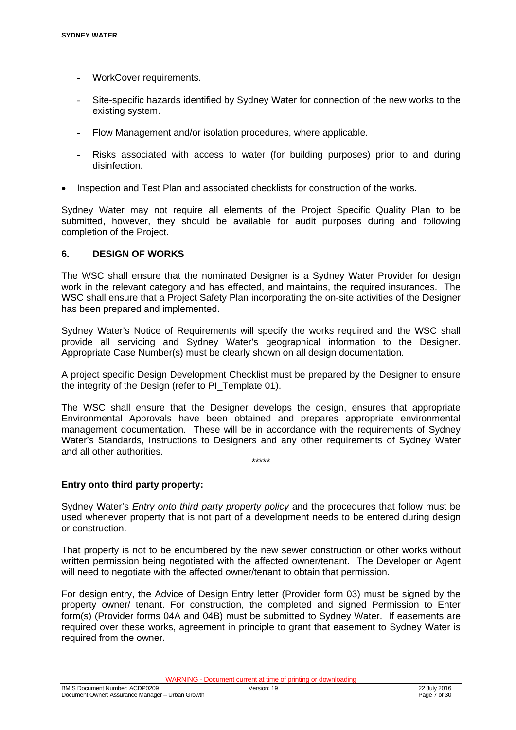- WorkCover requirements.
- Site-specific hazards identified by Sydney Water for connection of the new works to the existing system.
- Flow Management and/or isolation procedures, where applicable.
- Risks associated with access to water (for building purposes) prior to and during disinfection.
- Inspection and Test Plan and associated checklists for construction of the works.

Sydney Water may not require all elements of the Project Specific Quality Plan to be submitted, however, they should be available for audit purposes during and following completion of the Project.

#### **6. DESIGN OF WORKS**

The WSC shall ensure that the nominated Designer is a Sydney Water Provider for design work in the relevant category and has effected, and maintains, the required insurances. The WSC shall ensure that a Project Safety Plan incorporating the on-site activities of the Designer has been prepared and implemented.

Sydney Water's Notice of Requirements will specify the works required and the WSC shall provide all servicing and Sydney Water's geographical information to the Designer. Appropriate Case Number(s) must be clearly shown on all design documentation.

A project specific Design Development Checklist must be prepared by the Designer to ensure the integrity of the Design (refer to PI\_Template 01).

The WSC shall ensure that the Designer develops the design, ensures that appropriate Environmental Approvals have been obtained and prepares appropriate environmental management documentation. These will be in accordance with the requirements of Sydney Water's Standards, Instructions to Designers and any other requirements of Sydney Water and all other authorities. \*\*\*\*\*

#### **Entry onto third party property:**

Sydney Water's *Entry onto third party property policy* and the procedures that follow must be used whenever property that is not part of a development needs to be entered during design or construction.

That property is not to be encumbered by the new sewer construction or other works without written permission being negotiated with the affected owner/tenant. The Developer or Agent will need to negotiate with the affected owner/tenant to obtain that permission.

For design entry, the Advice of Design Entry letter (Provider form 03) must be signed by the property owner/ tenant. For construction, the completed and signed Permission to Enter form(s) (Provider forms 04A and 04B) must be submitted to Sydney Water. If easements are required over these works, agreement in principle to grant that easement to Sydney Water is required from the owner.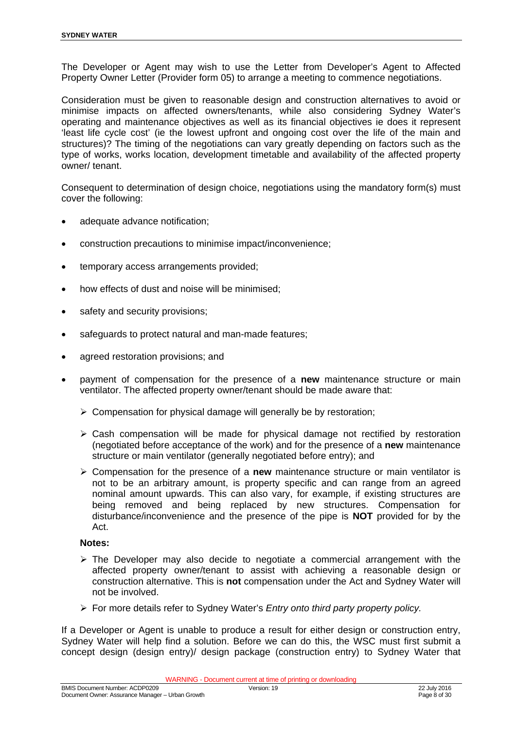The Developer or Agent may wish to use the Letter from Developer's Agent to Affected Property Owner Letter (Provider form 05) to arrange a meeting to commence negotiations.

Consideration must be given to reasonable design and construction alternatives to avoid or minimise impacts on affected owners/tenants, while also considering Sydney Water's operating and maintenance objectives as well as its financial objectives ie does it represent 'least life cycle cost' (ie the lowest upfront and ongoing cost over the life of the main and structures)? The timing of the negotiations can vary greatly depending on factors such as the type of works, works location, development timetable and availability of the affected property owner/ tenant.

Consequent to determination of design choice, negotiations using the mandatory form(s) must cover the following:

- adequate advance notification;
- construction precautions to minimise impact/inconvenience;
- temporary access arrangements provided;
- how effects of dust and noise will be minimised;
- safety and security provisions;
- safeguards to protect natural and man-made features;
- agreed restoration provisions; and
- payment of compensation for the presence of a **new** maintenance structure or main ventilator. The affected property owner/tenant should be made aware that:
	- $\triangleright$  Compensation for physical damage will generally be by restoration;
	- $\triangleright$  Cash compensation will be made for physical damage not rectified by restoration (negotiated before acceptance of the work) and for the presence of a **new** maintenance structure or main ventilator (generally negotiated before entry); and
	- Compensation for the presence of a **new** maintenance structure or main ventilator is not to be an arbitrary amount, is property specific and can range from an agreed nominal amount upwards. This can also vary, for example, if existing structures are being removed and being replaced by new structures. Compensation for disturbance/inconvenience and the presence of the pipe is **NOT** provided for by the Act.

#### **Notes:**

- $\triangleright$  The Developer may also decide to negotiate a commercial arrangement with the affected property owner/tenant to assist with achieving a reasonable design or construction alternative. This is **not** compensation under the Act and Sydney Water will not be involved.
- For more details refer to Sydney Water's *Entry onto third party property policy.*

If a Developer or Agent is unable to produce a result for either design or construction entry, Sydney Water will help find a solution. Before we can do this, the WSC must first submit a concept design (design entry)/ design package (construction entry) to Sydney Water that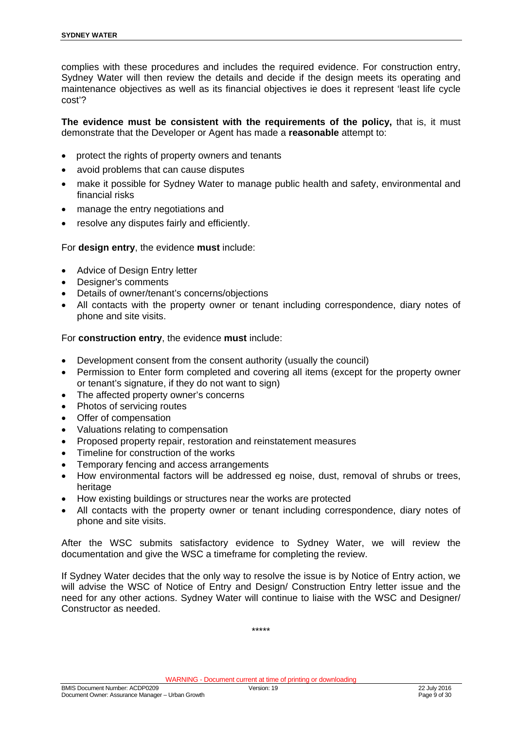complies with these procedures and includes the required evidence. For construction entry, Sydney Water will then review the details and decide if the design meets its operating and maintenance objectives as well as its financial objectives ie does it represent 'least life cycle cost'?

**The evidence must be consistent with the requirements of the policy,** that is, it must demonstrate that the Developer or Agent has made a **reasonable** attempt to:

- protect the rights of property owners and tenants
- avoid problems that can cause disputes
- make it possible for Sydney Water to manage public health and safety, environmental and financial risks
- manage the entry negotiations and
- resolve any disputes fairly and efficiently.

#### For **design entry**, the evidence **must** include:

- Advice of Design Entry letter
- Designer's comments
- Details of owner/tenant's concerns/objections
- All contacts with the property owner or tenant including correspondence, diary notes of phone and site visits.

For **construction entry**, the evidence **must** include:

- Development consent from the consent authority (usually the council)
- Permission to Enter form completed and covering all items (except for the property owner or tenant's signature, if they do not want to sign)
- The affected property owner's concerns
- Photos of servicing routes
- Offer of compensation
- Valuations relating to compensation
- Proposed property repair, restoration and reinstatement measures
- Timeline for construction of the works
- Temporary fencing and access arrangements
- How environmental factors will be addressed eg noise, dust, removal of shrubs or trees, heritage
- How existing buildings or structures near the works are protected
- All contacts with the property owner or tenant including correspondence, diary notes of phone and site visits.

After the WSC submits satisfactory evidence to Sydney Water, we will review the documentation and give the WSC a timeframe for completing the review.

If Sydney Water decides that the only way to resolve the issue is by Notice of Entry action, we will advise the WSC of Notice of Entry and Design/ Construction Entry letter issue and the need for any other actions. Sydney Water will continue to liaise with the WSC and Designer/ Constructor as needed.

\*\*\*\*\*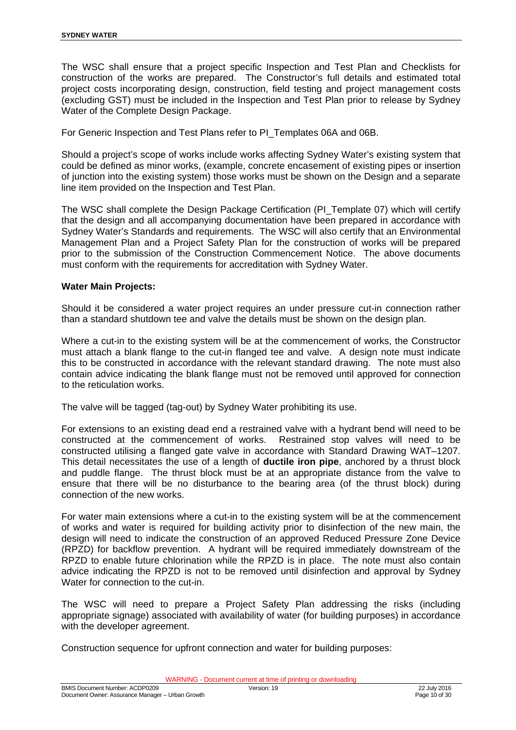The WSC shall ensure that a project specific Inspection and Test Plan and Checklists for construction of the works are prepared. The Constructor's full details and estimated total project costs incorporating design, construction, field testing and project management costs (excluding GST) must be included in the Inspection and Test Plan prior to release by Sydney Water of the Complete Design Package.

For Generic Inspection and Test Plans refer to PI\_Templates 06A and 06B.

Should a project's scope of works include works affecting Sydney Water's existing system that could be defined as minor works, (example, concrete encasement of existing pipes or insertion of junction into the existing system) those works must be shown on the Design and a separate line item provided on the Inspection and Test Plan.

The WSC shall complete the Design Package Certification (PI\_Template 07) which will certify that the design and all accompanying documentation have been prepared in accordance with Sydney Water's Standards and requirements. The WSC will also certify that an Environmental Management Plan and a Project Safety Plan for the construction of works will be prepared prior to the submission of the Construction Commencement Notice. The above documents must conform with the requirements for accreditation with Sydney Water.

#### **Water Main Projects:**

Should it be considered a water project requires an under pressure cut-in connection rather than a standard shutdown tee and valve the details must be shown on the design plan.

Where a cut-in to the existing system will be at the commencement of works, the Constructor must attach a blank flange to the cut-in flanged tee and valve. A design note must indicate this to be constructed in accordance with the relevant standard drawing. The note must also contain advice indicating the blank flange must not be removed until approved for connection to the reticulation works.

The valve will be tagged (tag-out) by Sydney Water prohibiting its use.

For extensions to an existing dead end a restrained valve with a hydrant bend will need to be constructed at the commencement of works. Restrained stop valves will need to be constructed utilising a flanged gate valve in accordance with Standard Drawing WAT–1207. This detail necessitates the use of a length of **ductile iron pipe**, anchored by a thrust block and puddle flange. The thrust block must be at an appropriate distance from the valve to ensure that there will be no disturbance to the bearing area (of the thrust block) during connection of the new works.

For water main extensions where a cut-in to the existing system will be at the commencement of works and water is required for building activity prior to disinfection of the new main, the design will need to indicate the construction of an approved Reduced Pressure Zone Device (RPZD) for backflow prevention. A hydrant will be required immediately downstream of the RPZD to enable future chlorination while the RPZD is in place. The note must also contain advice indicating the RPZD is not to be removed until disinfection and approval by Sydney Water for connection to the cut-in.

The WSC will need to prepare a Project Safety Plan addressing the risks (including appropriate signage) associated with availability of water (for building purposes) in accordance with the developer agreement.

Construction sequence for upfront connection and water for building purposes: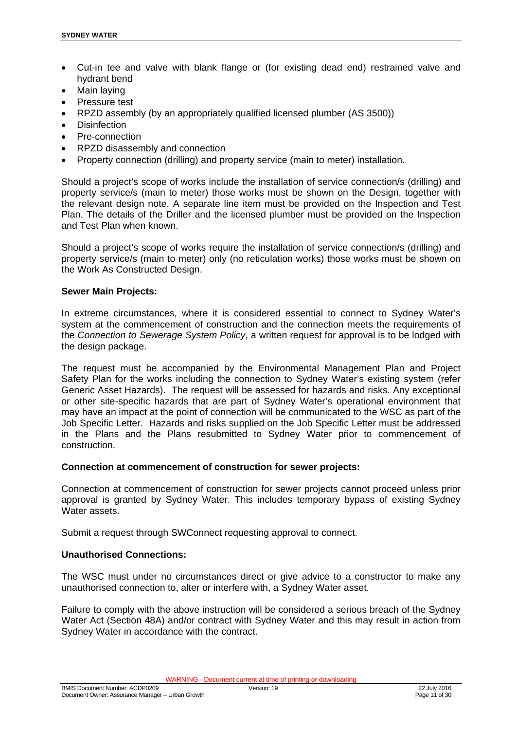- Cut-in tee and valve with blank flange or (for existing dead end) restrained valve and hydrant bend
- Main laying
- Pressure test
- RPZD assembly (by an appropriately qualified licensed plumber (AS 3500))
- **Disinfection**
- Pre-connection
- RPZD disassembly and connection
- Property connection (drilling) and property service (main to meter) installation.

Should a project's scope of works include the installation of service connection/s (drilling) and property service/s (main to meter) those works must be shown on the Design, together with the relevant design note. A separate line item must be provided on the Inspection and Test Plan. The details of the Driller and the licensed plumber must be provided on the Inspection and Test Plan when known.

Should a project's scope of works require the installation of service connection/s (drilling) and property service/s (main to meter) only (no reticulation works) those works must be shown on the Work As Constructed Design.

#### **Sewer Main Projects:**

In extreme circumstances, where it is considered essential to connect to Sydney Water's system at the commencement of construction and the connection meets the requirements of the *Connection to Sewerage System Policy*, a written request for approval is to be lodged with the design package.

The request must be accompanied by the Environmental Management Plan and Project Safety Plan for the works including the connection to Sydney Water's existing system (refer Generic Asset Hazards). The request will be assessed for hazards and risks. Any exceptional or other site-specific hazards that are part of Sydney Water's operational environment that may have an impact at the point of connection will be communicated to the WSC as part of the Job Specific Letter. Hazards and risks supplied on the Job Specific Letter must be addressed in the Plans and the Plans resubmitted to Sydney Water prior to commencement of construction.

#### **Connection at commencement of construction for sewer projects:**

Connection at commencement of construction for sewer projects cannot proceed unless prior approval is granted by Sydney Water. This includes temporary bypass of existing Sydney Water assets.

Submit a request through SWConnect requesting approval to connect.

#### **Unauthorised Connections:**

The WSC must under no circumstances direct or give advice to a constructor to make any unauthorised connection to, alter or interfere with, a Sydney Water asset.

Failure to comply with the above instruction will be considered a serious breach of the Sydney Water Act (Section 48A) and/or contract with Sydney Water and this may result in action from Sydney Water in accordance with the contract.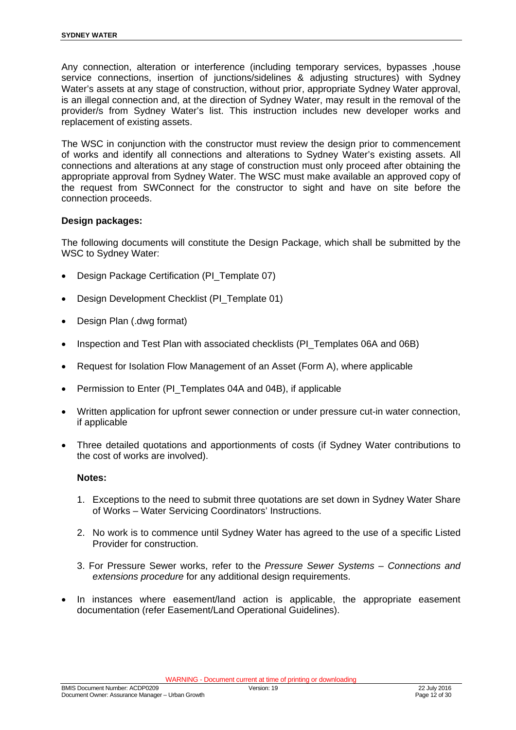Any connection, alteration or interference (including temporary services, bypasses ,house service connections, insertion of junctions/sidelines & adjusting structures) with Sydney Water's assets at any stage of construction, without prior, appropriate Sydney Water approval, is an illegal connection and, at the direction of Sydney Water, may result in the removal of the provider/s from Sydney Water's list. This instruction includes new developer works and replacement of existing assets.

The WSC in conjunction with the constructor must review the design prior to commencement of works and identify all connections and alterations to Sydney Water's existing assets. All connections and alterations at any stage of construction must only proceed after obtaining the appropriate approval from Sydney Water. The WSC must make available an approved copy of the request from SWConnect for the constructor to sight and have on site before the connection proceeds.

#### **Design packages:**

The following documents will constitute the Design Package, which shall be submitted by the WSC to Sydney Water:

- Design Package Certification (PI\_Template 07)
- Design Development Checklist (PI\_Template 01)
- Design Plan (.dwg format)
- Inspection and Test Plan with associated checklists (PI\_Templates 06A and 06B)
- Request for Isolation Flow Management of an Asset (Form A), where applicable
- Permission to Enter (PI\_Templates 04A and 04B), if applicable
- Written application for upfront sewer connection or under pressure cut-in water connection, if applicable
- Three detailed quotations and apportionments of costs (if Sydney Water contributions to the cost of works are involved).

#### **Notes:**

- 1. Exceptions to the need to submit three quotations are set down in Sydney Water Share of Works – Water Servicing Coordinators' Instructions.
- 2. No work is to commence until Sydney Water has agreed to the use of a specific Listed Provider for construction.
- 3. For Pressure Sewer works, refer to the *Pressure Sewer Systems Connections and extensions procedure* for any additional design requirements.
- In instances where easement/land action is applicable, the appropriate easement documentation (refer Easement/Land Operational Guidelines).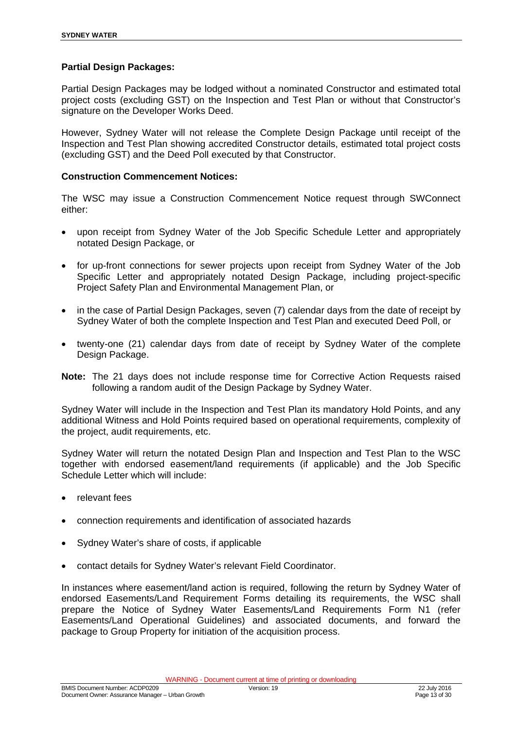#### **Partial Design Packages:**

Partial Design Packages may be lodged without a nominated Constructor and estimated total project costs (excluding GST) on the Inspection and Test Plan or without that Constructor's signature on the Developer Works Deed.

However, Sydney Water will not release the Complete Design Package until receipt of the Inspection and Test Plan showing accredited Constructor details, estimated total project costs (excluding GST) and the Deed Poll executed by that Constructor.

#### **Construction Commencement Notices:**

The WSC may issue a Construction Commencement Notice request through SWConnect either:

- upon receipt from Sydney Water of the Job Specific Schedule Letter and appropriately notated Design Package, or
- for up-front connections for sewer projects upon receipt from Sydney Water of the Job Specific Letter and appropriately notated Design Package, including project-specific Project Safety Plan and Environmental Management Plan, or
- in the case of Partial Design Packages, seven (7) calendar days from the date of receipt by Sydney Water of both the complete Inspection and Test Plan and executed Deed Poll, or
- twenty-one (21) calendar days from date of receipt by Sydney Water of the complete Design Package.
- **Note:** The 21 days does not include response time for Corrective Action Requests raised following a random audit of the Design Package by Sydney Water.

Sydney Water will include in the Inspection and Test Plan its mandatory Hold Points, and any additional Witness and Hold Points required based on operational requirements, complexity of the project, audit requirements, etc.

Sydney Water will return the notated Design Plan and Inspection and Test Plan to the WSC together with endorsed easement/land requirements (if applicable) and the Job Specific Schedule Letter which will include:

- relevant fees
- connection requirements and identification of associated hazards
- Sydney Water's share of costs, if applicable
- contact details for Sydney Water's relevant Field Coordinator.

In instances where easement/land action is required, following the return by Sydney Water of endorsed Easements/Land Requirement Forms detailing its requirements, the WSC shall prepare the Notice of Sydney Water Easements/Land Requirements Form N1 (refer Easements/Land Operational Guidelines) and associated documents, and forward the package to Group Property for initiation of the acquisition process.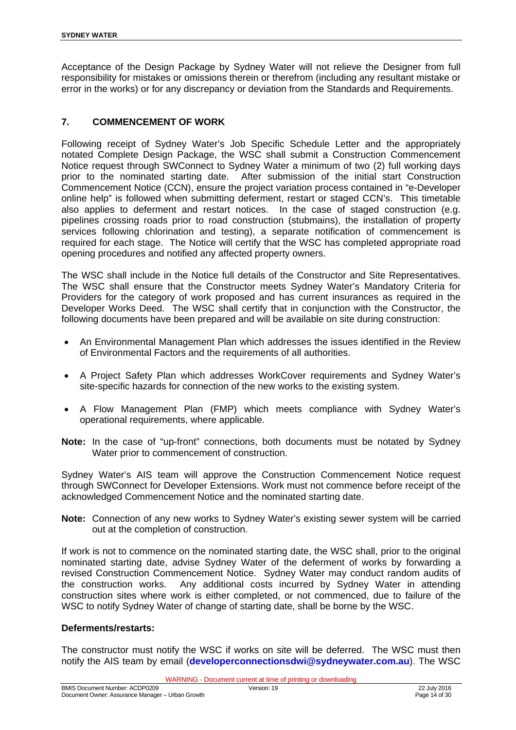Acceptance of the Design Package by Sydney Water will not relieve the Designer from full responsibility for mistakes or omissions therein or therefrom (including any resultant mistake or error in the works) or for any discrepancy or deviation from the Standards and Requirements.

#### **7. COMMENCEMENT OF WORK**

Following receipt of Sydney Water's Job Specific Schedule Letter and the appropriately notated Complete Design Package, the WSC shall submit a Construction Commencement Notice request through SWConnect to Sydney Water a minimum of two (2) full working days prior to the nominated starting date. After submission of the initial start Construction Commencement Notice (CCN), ensure the project variation process contained in "e-Developer online help" is followed when submitting deferment, restart or staged CCN's. This timetable also applies to deferment and restart notices. In the case of staged construction (e.g. pipelines crossing roads prior to road construction (stubmains), the installation of property services following chlorination and testing), a separate notification of commencement is required for each stage. The Notice will certify that the WSC has completed appropriate road opening procedures and notified any affected property owners.

The WSC shall include in the Notice full details of the Constructor and Site Representatives. The WSC shall ensure that the Constructor meets Sydney Water's Mandatory Criteria for Providers for the category of work proposed and has current insurances as required in the Developer Works Deed. The WSC shall certify that in conjunction with the Constructor, the following documents have been prepared and will be available on site during construction:

- An Environmental Management Plan which addresses the issues identified in the Review of Environmental Factors and the requirements of all authorities.
- A Project Safety Plan which addresses WorkCover requirements and Sydney Water's site-specific hazards for connection of the new works to the existing system.
- A Flow Management Plan (FMP) which meets compliance with Sydney Water's operational requirements, where applicable.
- **Note:** In the case of "up-front" connections, both documents must be notated by Sydney Water prior to commencement of construction.

Sydney Water's AIS team will approve the Construction Commencement Notice request through SWConnect for Developer Extensions. Work must not commence before receipt of the acknowledged Commencement Notice and the nominated starting date.

**Note:** Connection of any new works to Sydney Water's existing sewer system will be carried out at the completion of construction.

If work is not to commence on the nominated starting date, the WSC shall, prior to the original nominated starting date, advise Sydney Water of the deferment of works by forwarding a revised Construction Commencement Notice. Sydney Water may conduct random audits of the construction works. Any additional costs incurred by Sydney Water in attending construction sites where work is either completed, or not commenced, due to failure of the WSC to notify Sydney Water of change of starting date, shall be borne by the WSC.

#### **Deferments/restarts:**

The constructor must notify the WSC if works on site will be deferred. The WSC must then notify the AIS team by email (**developerconnectionsdwi@sydneywater.com.au**). The WSC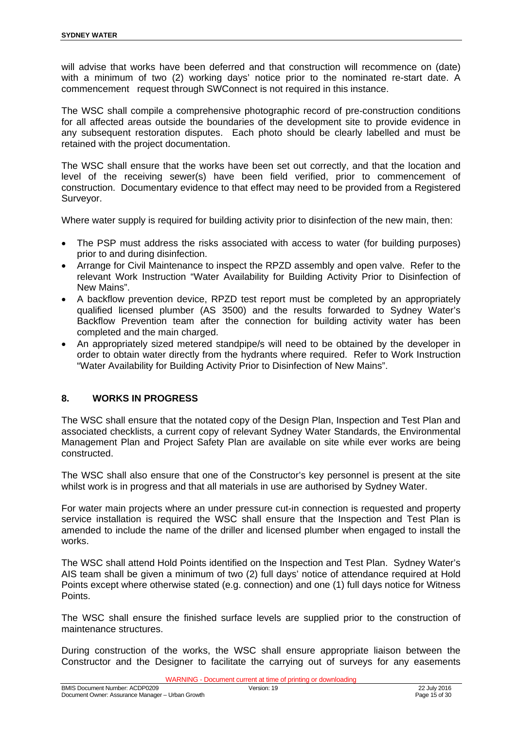will advise that works have been deferred and that construction will recommence on (date) with a minimum of two (2) working days' notice prior to the nominated re-start date. A commencement request through SWConnect is not required in this instance.

The WSC shall compile a comprehensive photographic record of pre-construction conditions for all affected areas outside the boundaries of the development site to provide evidence in any subsequent restoration disputes. Each photo should be clearly labelled and must be retained with the project documentation.

The WSC shall ensure that the works have been set out correctly, and that the location and level of the receiving sewer(s) have been field verified, prior to commencement of construction. Documentary evidence to that effect may need to be provided from a Registered Surveyor.

Where water supply is required for building activity prior to disinfection of the new main, then:

- The PSP must address the risks associated with access to water (for building purposes) prior to and during disinfection.
- Arrange for Civil Maintenance to inspect the RPZD assembly and open valve. Refer to the relevant Work Instruction "Water Availability for Building Activity Prior to Disinfection of New Mains".
- A backflow prevention device, RPZD test report must be completed by an appropriately qualified licensed plumber (AS 3500) and the results forwarded to Sydney Water's Backflow Prevention team after the connection for building activity water has been completed and the main charged.
- An appropriately sized metered standpipe/s will need to be obtained by the developer in order to obtain water directly from the hydrants where required. Refer to Work Instruction "Water Availability for Building Activity Prior to Disinfection of New Mains".

#### **8. WORKS IN PROGRESS**

The WSC shall ensure that the notated copy of the Design Plan, Inspection and Test Plan and associated checklists, a current copy of relevant Sydney Water Standards, the Environmental Management Plan and Project Safety Plan are available on site while ever works are being constructed.

The WSC shall also ensure that one of the Constructor's key personnel is present at the site whilst work is in progress and that all materials in use are authorised by Sydney Water.

For water main projects where an under pressure cut-in connection is requested and property service installation is required the WSC shall ensure that the Inspection and Test Plan is amended to include the name of the driller and licensed plumber when engaged to install the works.

The WSC shall attend Hold Points identified on the Inspection and Test Plan. Sydney Water's AIS team shall be given a minimum of two (2) full days' notice of attendance required at Hold Points except where otherwise stated (e.g. connection) and one (1) full days notice for Witness Points.

The WSC shall ensure the finished surface levels are supplied prior to the construction of maintenance structures.

During construction of the works, the WSC shall ensure appropriate liaison between the Constructor and the Designer to facilitate the carrying out of surveys for any easements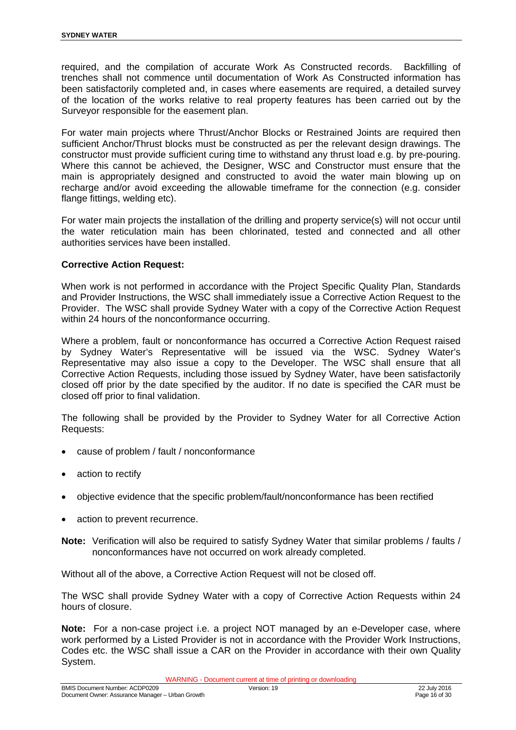required, and the compilation of accurate Work As Constructed records. Backfilling of trenches shall not commence until documentation of Work As Constructed information has been satisfactorily completed and, in cases where easements are required, a detailed survey of the location of the works relative to real property features has been carried out by the Surveyor responsible for the easement plan.

For water main projects where Thrust/Anchor Blocks or Restrained Joints are required then sufficient Anchor/Thrust blocks must be constructed as per the relevant design drawings. The constructor must provide sufficient curing time to withstand any thrust load e.g. by pre-pouring. Where this cannot be achieved, the Designer, WSC and Constructor must ensure that the main is appropriately designed and constructed to avoid the water main blowing up on recharge and/or avoid exceeding the allowable timeframe for the connection (e.g. consider flange fittings, welding etc).

For water main projects the installation of the drilling and property service(s) will not occur until the water reticulation main has been chlorinated, tested and connected and all other authorities services have been installed.

#### **Corrective Action Request:**

When work is not performed in accordance with the Project Specific Quality Plan, Standards and Provider Instructions, the WSC shall immediately issue a Corrective Action Request to the Provider. The WSC shall provide Sydney Water with a copy of the Corrective Action Request within 24 hours of the nonconformance occurring.

Where a problem, fault or nonconformance has occurred a Corrective Action Request raised by Sydney Water's Representative will be issued via the WSC. Sydney Water's Representative may also issue a copy to the Developer. The WSC shall ensure that all Corrective Action Requests, including those issued by Sydney Water, have been satisfactorily closed off prior by the date specified by the auditor. If no date is specified the CAR must be closed off prior to final validation.

The following shall be provided by the Provider to Sydney Water for all Corrective Action Requests:

- cause of problem / fault / nonconformance
- action to rectify
- objective evidence that the specific problem/fault/nonconformance has been rectified
- action to prevent recurrence.
- **Note:** Verification will also be required to satisfy Sydney Water that similar problems / faults / nonconformances have not occurred on work already completed.

Without all of the above, a Corrective Action Request will not be closed off.

The WSC shall provide Sydney Water with a copy of Corrective Action Requests within 24 hours of closure.

**Note:** For a non-case project i.e. a project NOT managed by an e-Developer case, where work performed by a Listed Provider is not in accordance with the Provider Work Instructions, Codes etc. the WSC shall issue a CAR on the Provider in accordance with their own Quality System.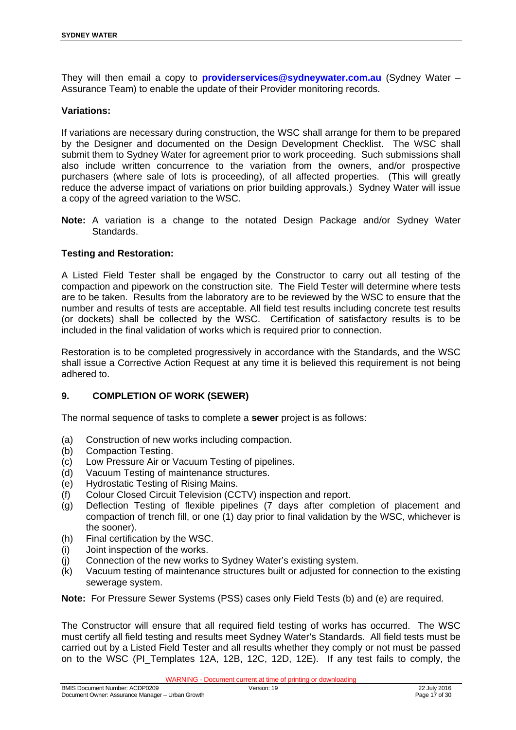They will then email a copy to **providerservices@sydneywater.com.au** (Sydney Water – Assurance Team) to enable the update of their Provider monitoring records.

#### **Variations:**

If variations are necessary during construction, the WSC shall arrange for them to be prepared by the Designer and documented on the Design Development Checklist. The WSC shall submit them to Sydney Water for agreement prior to work proceeding. Such submissions shall also include written concurrence to the variation from the owners, and/or prospective purchasers (where sale of lots is proceeding), of all affected properties. (This will greatly reduce the adverse impact of variations on prior building approvals.) Sydney Water will issue a copy of the agreed variation to the WSC.

**Note:** A variation is a change to the notated Design Package and/or Sydney Water Standards.

#### **Testing and Restoration:**

A Listed Field Tester shall be engaged by the Constructor to carry out all testing of the compaction and pipework on the construction site. The Field Tester will determine where tests are to be taken. Results from the laboratory are to be reviewed by the WSC to ensure that the number and results of tests are acceptable. All field test results including concrete test results (or dockets) shall be collected by the WSC. Certification of satisfactory results is to be included in the final validation of works which is required prior to connection.

Restoration is to be completed progressively in accordance with the Standards, and the WSC shall issue a Corrective Action Request at any time it is believed this requirement is not being adhered to.

#### **9. COMPLETION OF WORK (SEWER)**

The normal sequence of tasks to complete a **sewer** project is as follows:

- (a) Construction of new works including compaction.
- (b) Compaction Testing.
- (c) Low Pressure Air or Vacuum Testing of pipelines.
- (d) Vacuum Testing of maintenance structures.
- (e) Hydrostatic Testing of Rising Mains.
- (f) Colour Closed Circuit Television (CCTV) inspection and report.
- (g) Deflection Testing of flexible pipelines (7 days after completion of placement and compaction of trench fill, or one (1) day prior to final validation by the WSC, whichever is the sooner).
- (h) Final certification by the WSC.
- (i) Joint inspection of the works.
- (j) Connection of the new works to Sydney Water's existing system.
- (k) Vacuum testing of maintenance structures built or adjusted for connection to the existing sewerage system.

**Note:** For Pressure Sewer Systems (PSS) cases only Field Tests (b) and (e) are required.

The Constructor will ensure that all required field testing of works has occurred. The WSC must certify all field testing and results meet Sydney Water's Standards. All field tests must be carried out by a Listed Field Tester and all results whether they comply or not must be passed on to the WSC (PI Templates 12A, 12B, 12C, 12D, 12E). If any test fails to comply, the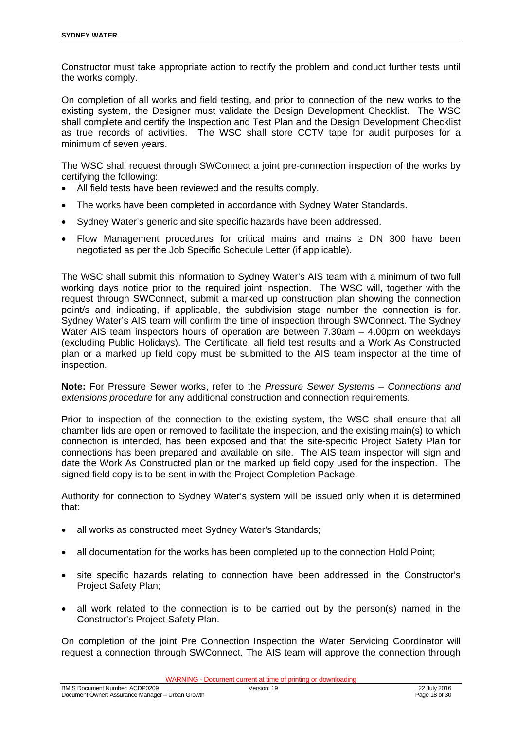Constructor must take appropriate action to rectify the problem and conduct further tests until the works comply.

On completion of all works and field testing, and prior to connection of the new works to the existing system, the Designer must validate the Design Development Checklist. The WSC shall complete and certify the Inspection and Test Plan and the Design Development Checklist as true records of activities. The WSC shall store CCTV tape for audit purposes for a minimum of seven years.

The WSC shall request through SWConnect a joint pre-connection inspection of the works by certifying the following:

- All field tests have been reviewed and the results comply.
- The works have been completed in accordance with Sydney Water Standards.
- Sydney Water's generic and site specific hazards have been addressed.
- Flow Management procedures for critical mains and mains  $\geq$  DN 300 have been negotiated as per the Job Specific Schedule Letter (if applicable).

The WSC shall submit this information to Sydney Water's AIS team with a minimum of two full working days notice prior to the required joint inspection. The WSC will, together with the request through SWConnect, submit a marked up construction plan showing the connection point/s and indicating, if applicable, the subdivision stage number the connection is for. Sydney Water's AIS team will confirm the time of inspection through SWConnect. The Sydney Water AIS team inspectors hours of operation are between 7.30am – 4.00pm on weekdays (excluding Public Holidays). The Certificate, all field test results and a Work As Constructed plan or a marked up field copy must be submitted to the AIS team inspector at the time of inspection.

**Note:** For Pressure Sewer works, refer to the *Pressure Sewer Systems – Connections and extensions procedure* for any additional construction and connection requirements.

Prior to inspection of the connection to the existing system, the WSC shall ensure that all chamber lids are open or removed to facilitate the inspection, and the existing main(s) to which connection is intended, has been exposed and that the site-specific Project Safety Plan for connections has been prepared and available on site. The AIS team inspector will sign and date the Work As Constructed plan or the marked up field copy used for the inspection. The signed field copy is to be sent in with the Project Completion Package.

Authority for connection to Sydney Water's system will be issued only when it is determined that:

- all works as constructed meet Sydney Water's Standards;
- all documentation for the works has been completed up to the connection Hold Point;
- site specific hazards relating to connection have been addressed in the Constructor's Project Safety Plan;
- all work related to the connection is to be carried out by the person(s) named in the Constructor's Project Safety Plan.

On completion of the joint Pre Connection Inspection the Water Servicing Coordinator will request a connection through SWConnect. The AIS team will approve the connection through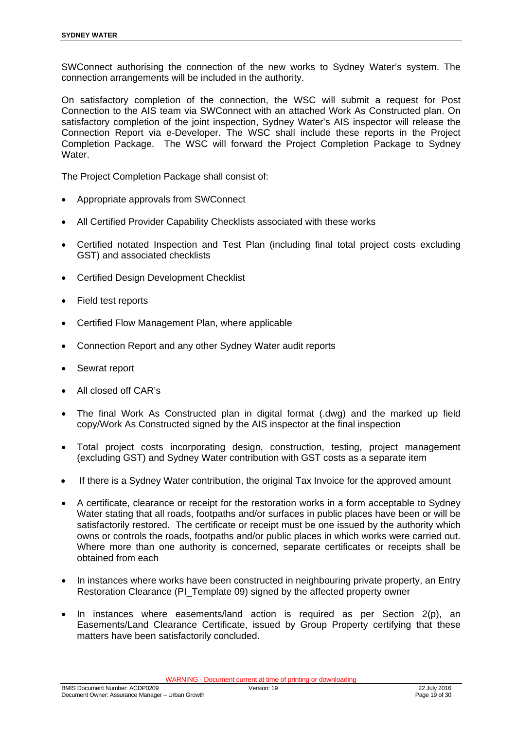SWConnect authorising the connection of the new works to Sydney Water's system. The connection arrangements will be included in the authority.

On satisfactory completion of the connection, the WSC will submit a request for Post Connection to the AIS team via SWConnect with an attached Work As Constructed plan. On satisfactory completion of the joint inspection, Sydney Water's AIS inspector will release the Connection Report via e-Developer. The WSC shall include these reports in the Project Completion Package. The WSC will forward the Project Completion Package to Sydney Water.

The Project Completion Package shall consist of:

- Appropriate approvals from SWConnect
- All Certified Provider Capability Checklists associated with these works
- Certified notated Inspection and Test Plan (including final total project costs excluding GST) and associated checklists
- Certified Design Development Checklist
- Field test reports
- Certified Flow Management Plan, where applicable
- Connection Report and any other Sydney Water audit reports
- Sewrat report
- All closed off CAR's
- The final Work As Constructed plan in digital format (.dwg) and the marked up field copy/Work As Constructed signed by the AIS inspector at the final inspection
- Total project costs incorporating design, construction, testing, project management (excluding GST) and Sydney Water contribution with GST costs as a separate item
- If there is a Sydney Water contribution, the original Tax Invoice for the approved amount
- A certificate, clearance or receipt for the restoration works in a form acceptable to Sydney Water stating that all roads, footpaths and/or surfaces in public places have been or will be satisfactorily restored. The certificate or receipt must be one issued by the authority which owns or controls the roads, footpaths and/or public places in which works were carried out. Where more than one authority is concerned, separate certificates or receipts shall be obtained from each
- In instances where works have been constructed in neighbouring private property, an Entry Restoration Clearance (PI\_Template 09) signed by the affected property owner
- In instances where easements/land action is required as per Section 2(p), an Easements/Land Clearance Certificate, issued by Group Property certifying that these matters have been satisfactorily concluded.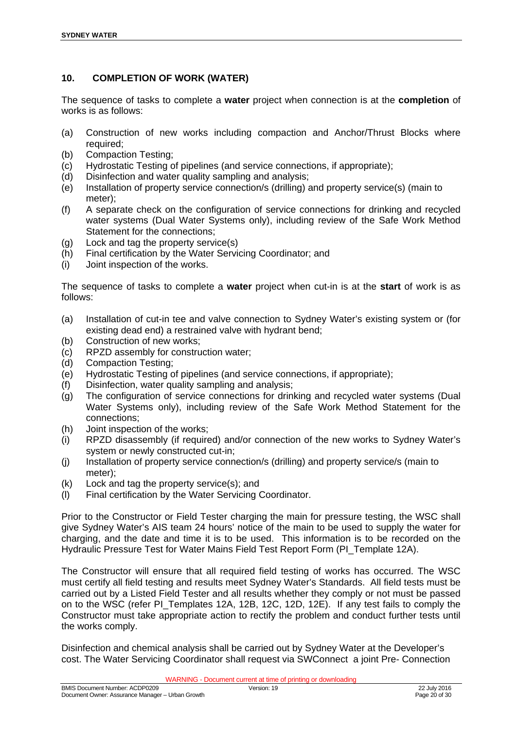## **10. COMPLETION OF WORK (WATER)**

The sequence of tasks to complete a **water** project when connection is at the **completion** of works is as follows:

- (a) Construction of new works including compaction and Anchor/Thrust Blocks where required;
- (b) Compaction Testing;
- (c) Hydrostatic Testing of pipelines (and service connections, if appropriate);
- (d) Disinfection and water quality sampling and analysis;
- (e) Installation of property service connection/s (drilling) and property service(s) (main to meter);
- (f) A separate check on the configuration of service connections for drinking and recycled water systems (Dual Water Systems only), including review of the Safe Work Method Statement for the connections;
- (g) Lock and tag the property service(s)
- (h) Final certification by the Water Servicing Coordinator; and
- (i) Joint inspection of the works.

The sequence of tasks to complete a **water** project when cut-in is at the **start** of work is as follows:

- (a) Installation of cut-in tee and valve connection to Sydney Water's existing system or (for existing dead end) a restrained valve with hydrant bend;
- (b) Construction of new works;
- (c) RPZD assembly for construction water;
- (d) Compaction Testing;
- (e) Hydrostatic Testing of pipelines (and service connections, if appropriate);
- (f) Disinfection, water quality sampling and analysis;
- (g) The configuration of service connections for drinking and recycled water systems (Dual Water Systems only), including review of the Safe Work Method Statement for the connections;
- (h) Joint inspection of the works;
- (i) RPZD disassembly (if required) and/or connection of the new works to Sydney Water's system or newly constructed cut-in;
- (j) Installation of property service connection/s (drilling) and property service/s (main to meter);
- (k) Lock and tag the property service(s); and
- (l) Final certification by the Water Servicing Coordinator.

Prior to the Constructor or Field Tester charging the main for pressure testing, the WSC shall give Sydney Water's AIS team 24 hours' notice of the main to be used to supply the water for charging, and the date and time it is to be used. This information is to be recorded on the Hydraulic Pressure Test for Water Mains Field Test Report Form (PI\_Template 12A).

The Constructor will ensure that all required field testing of works has occurred. The WSC must certify all field testing and results meet Sydney Water's Standards. All field tests must be carried out by a Listed Field Tester and all results whether they comply or not must be passed on to the WSC (refer PI\_Templates 12A, 12B, 12C, 12D, 12E). If any test fails to comply the Constructor must take appropriate action to rectify the problem and conduct further tests until the works comply.

Disinfection and chemical analysis shall be carried out by Sydney Water at the Developer's cost. The Water Servicing Coordinator shall request via SWConnect a joint Pre- Connection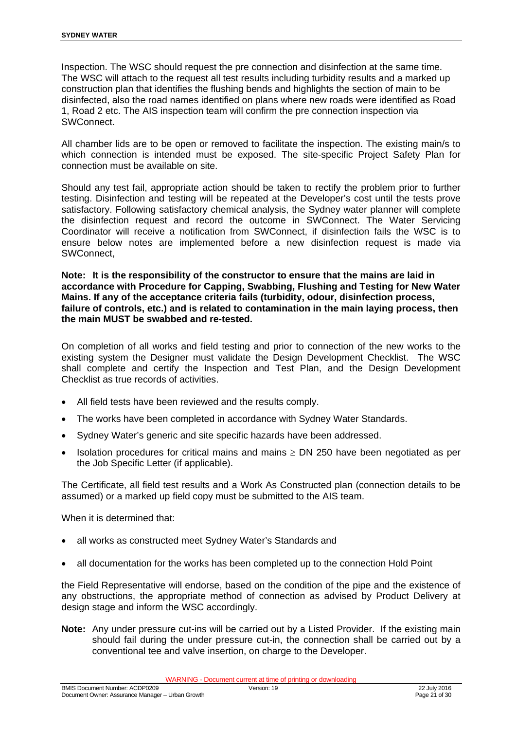Inspection. The WSC should request the pre connection and disinfection at the same time. The WSC will attach to the request all test results including turbidity results and a marked up construction plan that identifies the flushing bends and highlights the section of main to be disinfected, also the road names identified on plans where new roads were identified as Road 1, Road 2 etc. The AIS inspection team will confirm the pre connection inspection via SWConnect.

All chamber lids are to be open or removed to facilitate the inspection. The existing main/s to which connection is intended must be exposed. The site-specific Project Safety Plan for connection must be available on site.

Should any test fail, appropriate action should be taken to rectify the problem prior to further testing. Disinfection and testing will be repeated at the Developer's cost until the tests prove satisfactory. Following satisfactory chemical analysis, the Sydney water planner will complete the disinfection request and record the outcome in SWConnect. The Water Servicing Coordinator will receive a notification from SWConnect, if disinfection fails the WSC is to ensure below notes are implemented before a new disinfection request is made via SWConnect,

**Note: It is the responsibility of the constructor to ensure that the mains are laid in accordance with Procedure for Capping, Swabbing, Flushing and Testing for New Water Mains. If any of the acceptance criteria fails (turbidity, odour, disinfection process, failure of controls, etc.) and is related to contamination in the main laying process, then the main MUST be swabbed and re-tested.**

On completion of all works and field testing and prior to connection of the new works to the existing system the Designer must validate the Design Development Checklist. The WSC shall complete and certify the Inspection and Test Plan, and the Design Development Checklist as true records of activities.

- All field tests have been reviewed and the results comply.
- The works have been completed in accordance with Sydney Water Standards.
- Sydney Water's generic and site specific hazards have been addressed.
- Isolation procedures for critical mains and mains  $\geq$  DN 250 have been negotiated as per the Job Specific Letter (if applicable).

The Certificate, all field test results and a Work As Constructed plan (connection details to be assumed) or a marked up field copy must be submitted to the AIS team.

When it is determined that:

- all works as constructed meet Sydney Water's Standards and
- all documentation for the works has been completed up to the connection Hold Point

the Field Representative will endorse, based on the condition of the pipe and the existence of any obstructions, the appropriate method of connection as advised by Product Delivery at design stage and inform the WSC accordingly.

**Note:** Any under pressure cut-ins will be carried out by a Listed Provider. If the existing main should fail during the under pressure cut-in, the connection shall be carried out by a conventional tee and valve insertion, on charge to the Developer.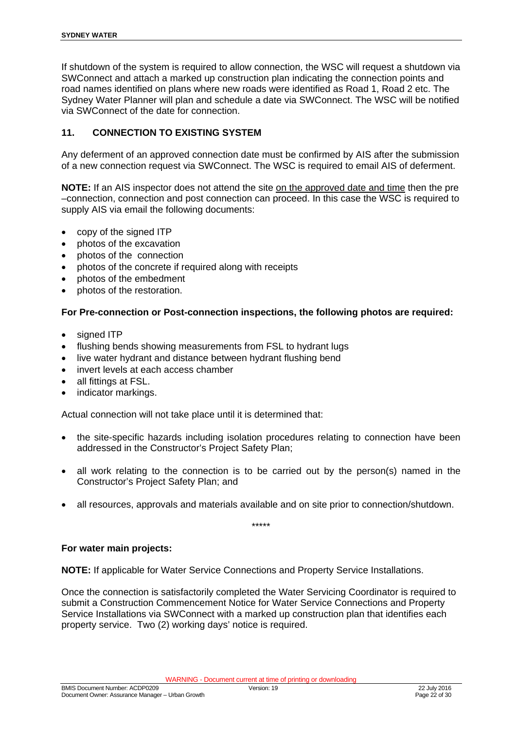If shutdown of the system is required to allow connection, the WSC will request a shutdown via SWConnect and attach a marked up construction plan indicating the connection points and road names identified on plans where new roads were identified as Road 1, Road 2 etc. The Sydney Water Planner will plan and schedule a date via SWConnect. The WSC will be notified via SWConnect of the date for connection.

#### **11. CONNECTION TO EXISTING SYSTEM**

Any deferment of an approved connection date must be confirmed by AIS after the submission of a new connection request via SWConnect. The WSC is required to email AIS of deferment.

**NOTE:** If an AIS inspector does not attend the site on the approved date and time then the pre –connection, connection and post connection can proceed. In this case the WSC is required to supply AIS via email the following documents:

- copy of the signed ITP
- photos of the excavation
- photos of the connection
- photos of the concrete if required along with receipts
- photos of the embedment
- photos of the restoration.

#### **For Pre-connection or Post-connection inspections, the following photos are required:**

- signed ITP
- flushing bends showing measurements from FSL to hydrant lugs
- live water hydrant and distance between hydrant flushing bend
- invert levels at each access chamber
- all fittings at FSL.
- indicator markings.

Actual connection will not take place until it is determined that:

- the site-specific hazards including isolation procedures relating to connection have been addressed in the Constructor's Project Safety Plan;
- all work relating to the connection is to be carried out by the person(s) named in the Constructor's Project Safety Plan; and
- all resources, approvals and materials available and on site prior to connection/shutdown.

\*\*\*\*\*

#### **For water main projects:**

**NOTE:** If applicable for Water Service Connections and Property Service Installations.

Once the connection is satisfactorily completed the Water Servicing Coordinator is required to submit a Construction Commencement Notice for Water Service Connections and Property Service Installations via SWConnect with a marked up construction plan that identifies each property service. Two (2) working days' notice is required.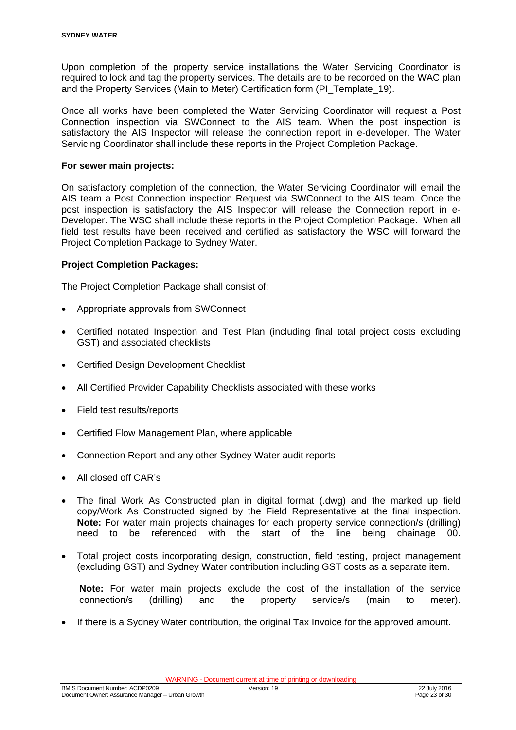Upon completion of the property service installations the Water Servicing Coordinator is required to lock and tag the property services. The details are to be recorded on the WAC plan and the Property Services (Main to Meter) Certification form (PI\_Template\_19).

Once all works have been completed the Water Servicing Coordinator will request a Post Connection inspection via SWConnect to the AIS team. When the post inspection is satisfactory the AIS Inspector will release the connection report in e-developer. The Water Servicing Coordinator shall include these reports in the Project Completion Package.

#### **For sewer main projects:**

On satisfactory completion of the connection, the Water Servicing Coordinator will email the AIS team a Post Connection inspection Request via SWConnect to the AIS team. Once the post inspection is satisfactory the AIS Inspector will release the Connection report in e-Developer. The WSC shall include these reports in the Project Completion Package. When all field test results have been received and certified as satisfactory the WSC will forward the Project Completion Package to Sydney Water.

#### **Project Completion Packages:**

The Project Completion Package shall consist of:

- Appropriate approvals from SWConnect
- Certified notated Inspection and Test Plan (including final total project costs excluding GST) and associated checklists
- Certified Design Development Checklist
- All Certified Provider Capability Checklists associated with these works
- Field test results/reports
- Certified Flow Management Plan, where applicable
- Connection Report and any other Sydney Water audit reports
- All closed off CAR's
- The final Work As Constructed plan in digital format (.dwg) and the marked up field copy/Work As Constructed signed by the Field Representative at the final inspection. **Note:** For water main projects chainages for each property service connection/s (drilling) need to be referenced with the start of the line being chainage 00.
- Total project costs incorporating design, construction, field testing, project management (excluding GST) and Sydney Water contribution including GST costs as a separate item.

**Note:** For water main projects exclude the cost of the installation of the service connection/s (drilling) and the property service/s (main to meter).

If there is a Sydney Water contribution, the original Tax Invoice for the approved amount.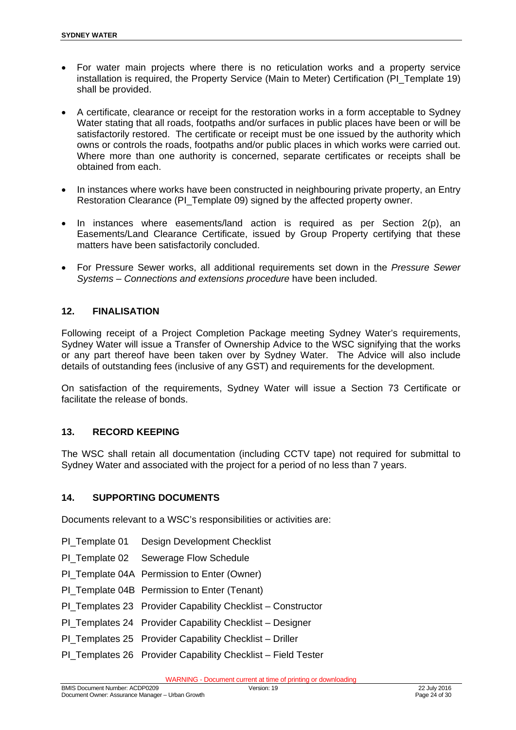- For water main projects where there is no reticulation works and a property service installation is required, the Property Service (Main to Meter) Certification (PI\_Template 19) shall be provided.
- A certificate, clearance or receipt for the restoration works in a form acceptable to Sydney Water stating that all roads, footpaths and/or surfaces in public places have been or will be satisfactorily restored. The certificate or receipt must be one issued by the authority which owns or controls the roads, footpaths and/or public places in which works were carried out. Where more than one authority is concerned, separate certificates or receipts shall be obtained from each.
- In instances where works have been constructed in neighbouring private property, an Entry Restoration Clearance (PI\_Template 09) signed by the affected property owner.
- In instances where easements/land action is required as per Section 2(p), an Easements/Land Clearance Certificate, issued by Group Property certifying that these matters have been satisfactorily concluded.
- For Pressure Sewer works, all additional requirements set down in the *Pressure Sewer Systems – Connections and extensions procedure* have been included.

#### **12. FINALISATION**

Following receipt of a Project Completion Package meeting Sydney Water's requirements, Sydney Water will issue a Transfer of Ownership Advice to the WSC signifying that the works or any part thereof have been taken over by Sydney Water. The Advice will also include details of outstanding fees (inclusive of any GST) and requirements for the development.

On satisfaction of the requirements, Sydney Water will issue a Section 73 Certificate or facilitate the release of bonds.

#### **13. RECORD KEEPING**

The WSC shall retain all documentation (including CCTV tape) not required for submittal to Sydney Water and associated with the project for a period of no less than 7 years.

#### **14. SUPPORTING DOCUMENTS**

Documents relevant to a WSC's responsibilities or activities are:

- PI\_Template 01 Design Development Checklist
- PI\_Template 02 Sewerage Flow Schedule
- PI\_Template 04A Permission to Enter (Owner)
- PI Template 04B Permission to Enter (Tenant)
- PI\_Templates 23 Provider Capability Checklist Constructor
- PI\_Templates 24 Provider Capability Checklist Designer
- PI\_Templates 25 Provider Capability Checklist Driller
- PI\_Templates 26 Provider Capability Checklist Field Tester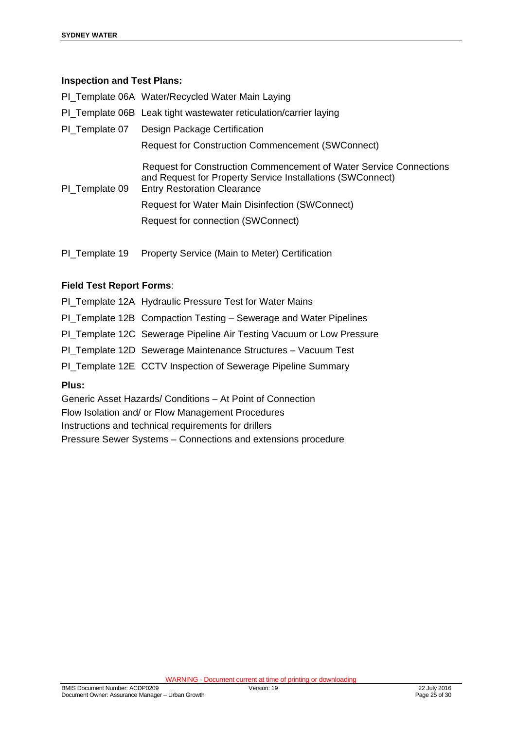#### **Inspection and Test Plans:**

|                | PI_Template 06A Water/Recycled Water Main Laying                                                                                                                              |
|----------------|-------------------------------------------------------------------------------------------------------------------------------------------------------------------------------|
|                | PI_Template 06B Leak tight wastewater reticulation/carrier laying                                                                                                             |
|                | PI_Template 07 Design Package Certification                                                                                                                                   |
|                | <b>Request for Construction Commencement (SWConnect)</b>                                                                                                                      |
| PI Template 09 | <b>Request for Construction Commencement of Water Service Connections</b><br>and Request for Property Service Installations (SWConnect)<br><b>Entry Restoration Clearance</b> |
|                | <b>Request for Water Main Disinfection (SWConnect)</b>                                                                                                                        |
|                | Request for connection (SWConnect)                                                                                                                                            |
|                |                                                                                                                                                                               |

PI\_Template 19 Property Service (Main to Meter) Certification

#### **Field Test Report Forms**:

- PI\_Template 12A Hydraulic Pressure Test for Water Mains
- PI Template 12B Compaction Testing Sewerage and Water Pipelines
- PI\_Template 12C Sewerage Pipeline Air Testing Vacuum or Low Pressure
- PI\_Template 12D Sewerage Maintenance Structures Vacuum Test
- PI\_Template 12E CCTV Inspection of Sewerage Pipeline Summary

#### **Plus:**

Generic Asset Hazards/ Conditions – At Point of Connection Flow Isolation and/ or Flow Management Procedures Instructions and technical requirements for drillers Pressure Sewer Systems – Connections and extensions procedure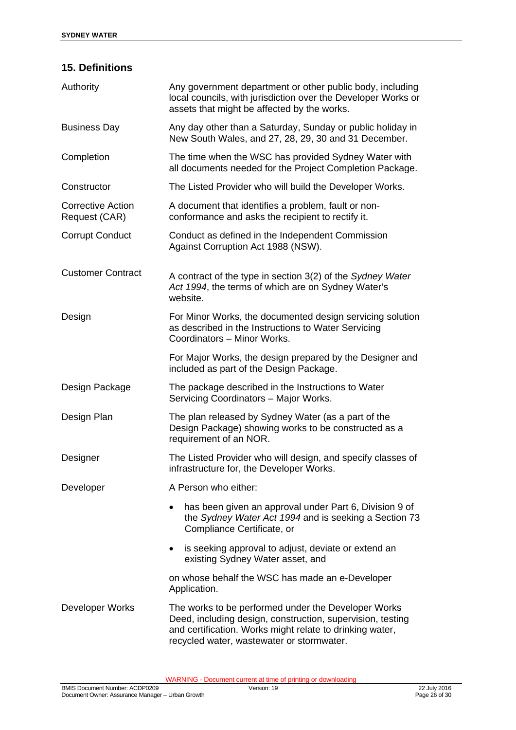## **15. Definitions**

| Authority                                 | Any government department or other public body, including<br>local councils, with jurisdiction over the Developer Works or<br>assets that might be affected by the works.                                                  |  |  |  |
|-------------------------------------------|----------------------------------------------------------------------------------------------------------------------------------------------------------------------------------------------------------------------------|--|--|--|
| <b>Business Day</b>                       | Any day other than a Saturday, Sunday or public holiday in<br>New South Wales, and 27, 28, 29, 30 and 31 December.                                                                                                         |  |  |  |
| Completion                                | The time when the WSC has provided Sydney Water with<br>all documents needed for the Project Completion Package.                                                                                                           |  |  |  |
| Constructor                               | The Listed Provider who will build the Developer Works.                                                                                                                                                                    |  |  |  |
| <b>Corrective Action</b><br>Request (CAR) | A document that identifies a problem, fault or non-<br>conformance and asks the recipient to rectify it.                                                                                                                   |  |  |  |
| <b>Corrupt Conduct</b>                    | Conduct as defined in the Independent Commission<br>Against Corruption Act 1988 (NSW).                                                                                                                                     |  |  |  |
| <b>Customer Contract</b>                  | A contract of the type in section 3(2) of the Sydney Water<br>Act 1994, the terms of which are on Sydney Water's<br>website.                                                                                               |  |  |  |
| Design                                    | For Minor Works, the documented design servicing solution<br>as described in the Instructions to Water Servicing<br>Coordinators - Minor Works.                                                                            |  |  |  |
|                                           | For Major Works, the design prepared by the Designer and<br>included as part of the Design Package.                                                                                                                        |  |  |  |
| Design Package                            | The package described in the Instructions to Water<br>Servicing Coordinators - Major Works.                                                                                                                                |  |  |  |
| Design Plan                               | The plan released by Sydney Water (as a part of the<br>Design Package) showing works to be constructed as a<br>requirement of an NOR.                                                                                      |  |  |  |
| Designer                                  | The Listed Provider who will design, and specify classes of<br>infrastructure for, the Developer Works.                                                                                                                    |  |  |  |
| Developer                                 | A Person who either:                                                                                                                                                                                                       |  |  |  |
|                                           | has been given an approval under Part 6, Division 9 of<br>$\bullet$<br>the Sydney Water Act 1994 and is seeking a Section 73<br>Compliance Certificate, or                                                                 |  |  |  |
|                                           | is seeking approval to adjust, deviate or extend an<br>$\bullet$<br>existing Sydney Water asset, and                                                                                                                       |  |  |  |
|                                           | on whose behalf the WSC has made an e-Developer<br>Application.                                                                                                                                                            |  |  |  |
| Developer Works                           | The works to be performed under the Developer Works<br>Deed, including design, construction, supervision, testing<br>and certification. Works might relate to drinking water,<br>recycled water, wastewater or stormwater. |  |  |  |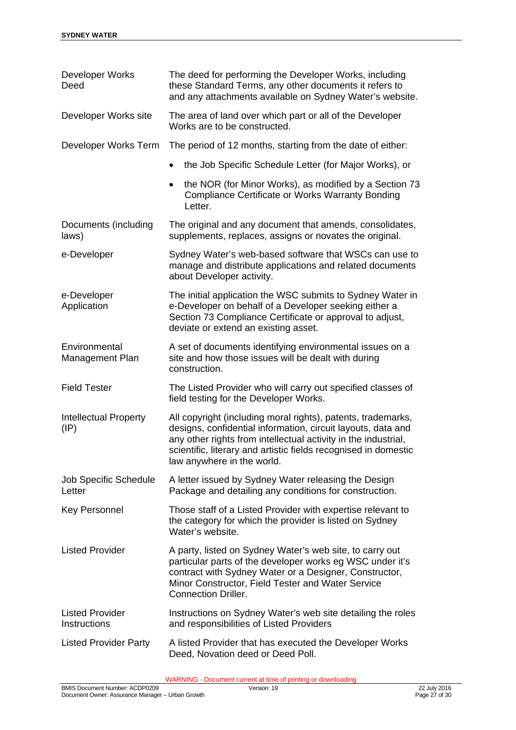| Developer Works<br>Deed                         | The deed for performing the Developer Works, including<br>these Standard Terms, any other documents it refers to<br>and any attachments available on Sydney Water's website.                                                                                                                    |  |  |  |
|-------------------------------------------------|-------------------------------------------------------------------------------------------------------------------------------------------------------------------------------------------------------------------------------------------------------------------------------------------------|--|--|--|
| Developer Works site                            | The area of land over which part or all of the Developer<br>Works are to be constructed.                                                                                                                                                                                                        |  |  |  |
| Developer Works Term                            | The period of 12 months, starting from the date of either:                                                                                                                                                                                                                                      |  |  |  |
|                                                 | the Job Specific Schedule Letter (for Major Works), or<br>$\bullet$                                                                                                                                                                                                                             |  |  |  |
|                                                 | the NOR (for Minor Works), as modified by a Section 73<br>$\bullet$<br><b>Compliance Certificate or Works Warranty Bonding</b><br>Letter.                                                                                                                                                       |  |  |  |
| Documents (including<br>laws)                   | The original and any document that amends, consolidates,<br>supplements, replaces, assigns or novates the original.                                                                                                                                                                             |  |  |  |
| e-Developer                                     | Sydney Water's web-based software that WSCs can use to<br>manage and distribute applications and related documents<br>about Developer activity.                                                                                                                                                 |  |  |  |
| e-Developer<br>Application                      | The initial application the WSC submits to Sydney Water in<br>e-Developer on behalf of a Developer seeking either a<br>Section 73 Compliance Certificate or approval to adjust,<br>deviate or extend an existing asset.                                                                         |  |  |  |
| Environmental<br>Management Plan                | A set of documents identifying environmental issues on a<br>site and how those issues will be dealt with during<br>construction.                                                                                                                                                                |  |  |  |
| <b>Field Tester</b>                             | The Listed Provider who will carry out specified classes of<br>field testing for the Developer Works.                                                                                                                                                                                           |  |  |  |
| <b>Intellectual Property</b><br>$(\mathsf{IP})$ | All copyright (including moral rights), patents, trademarks,<br>designs, confidential information, circuit layouts, data and<br>any other rights from intellectual activity in the industrial,<br>scientific, literary and artistic fields recognised in domestic<br>law anywhere in the world. |  |  |  |
| <b>Job Specific Schedule</b><br>Letter          | A letter issued by Sydney Water releasing the Design<br>Package and detailing any conditions for construction.                                                                                                                                                                                  |  |  |  |
| <b>Key Personnel</b>                            | Those staff of a Listed Provider with expertise relevant to<br>the category for which the provider is listed on Sydney<br>Water's website.                                                                                                                                                      |  |  |  |
| <b>Listed Provider</b>                          | A party, listed on Sydney Water's web site, to carry out<br>particular parts of the developer works eg WSC under it's<br>contract with Sydney Water or a Designer, Constructor,<br>Minor Constructor, Field Tester and Water Service<br><b>Connection Driller.</b>                              |  |  |  |
| <b>Listed Provider</b><br>Instructions          | Instructions on Sydney Water's web site detailing the roles<br>and responsibilities of Listed Providers                                                                                                                                                                                         |  |  |  |
| <b>Listed Provider Party</b>                    | A listed Provider that has executed the Developer Works<br>Deed, Novation deed or Deed Poll.                                                                                                                                                                                                    |  |  |  |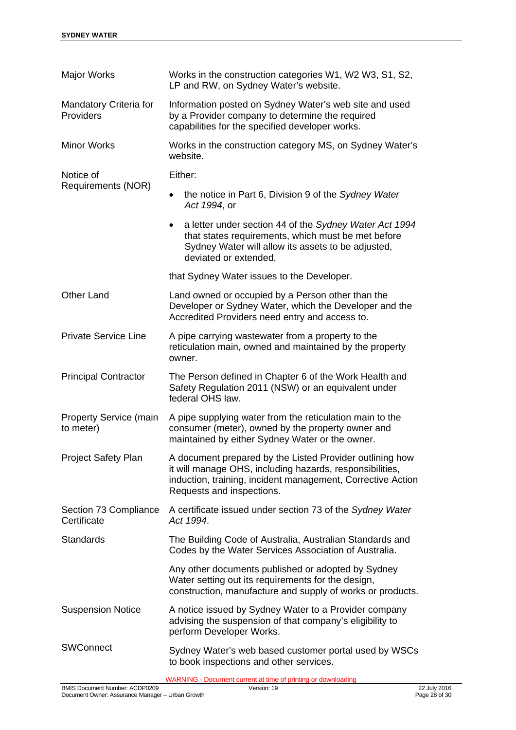| <b>Major Works</b>                         | Works in the construction categories W1, W2 W3, S1, S2,<br>LP and RW, on Sydney Water's website.                                                                                                                 |  |  |  |  |
|--------------------------------------------|------------------------------------------------------------------------------------------------------------------------------------------------------------------------------------------------------------------|--|--|--|--|
| <b>Mandatory Criteria for</b><br>Providers | Information posted on Sydney Water's web site and used<br>by a Provider company to determine the required<br>capabilities for the specified developer works.                                                     |  |  |  |  |
| <b>Minor Works</b>                         | Works in the construction category MS, on Sydney Water's<br>website.                                                                                                                                             |  |  |  |  |
| Notice of                                  | Either:                                                                                                                                                                                                          |  |  |  |  |
| Requirements (NOR)                         | the notice in Part 6, Division 9 of the Sydney Water<br>Act 1994, or                                                                                                                                             |  |  |  |  |
|                                            | a letter under section 44 of the Sydney Water Act 1994<br>that states requirements, which must be met before<br>Sydney Water will allow its assets to be adjusted,<br>deviated or extended,                      |  |  |  |  |
|                                            | that Sydney Water issues to the Developer.                                                                                                                                                                       |  |  |  |  |
| <b>Other Land</b>                          | Land owned or occupied by a Person other than the<br>Developer or Sydney Water, which the Developer and the<br>Accredited Providers need entry and access to.                                                    |  |  |  |  |
| <b>Private Service Line</b>                | A pipe carrying wastewater from a property to the<br>reticulation main, owned and maintained by the property<br>owner.                                                                                           |  |  |  |  |
| <b>Principal Contractor</b>                | The Person defined in Chapter 6 of the Work Health and<br>Safety Regulation 2011 (NSW) or an equivalent under<br>federal OHS law.                                                                                |  |  |  |  |
| <b>Property Service (main</b><br>to meter) | A pipe supplying water from the reticulation main to the<br>consumer (meter), owned by the property owner and<br>maintained by either Sydney Water or the owner.                                                 |  |  |  |  |
| <b>Project Safety Plan</b>                 | A document prepared by the Listed Provider outlining how<br>it will manage OHS, including hazards, responsibilities,<br>induction, training, incident management, Corrective Action<br>Requests and inspections. |  |  |  |  |
| Section 73 Compliance<br>Certificate       | A certificate issued under section 73 of the Sydney Water<br>Act 1994.                                                                                                                                           |  |  |  |  |
| <b>Standards</b>                           | The Building Code of Australia, Australian Standards and<br>Codes by the Water Services Association of Australia.                                                                                                |  |  |  |  |
|                                            | Any other documents published or adopted by Sydney<br>Water setting out its requirements for the design,<br>construction, manufacture and supply of works or products.                                           |  |  |  |  |
| <b>Suspension Notice</b>                   | A notice issued by Sydney Water to a Provider company<br>advising the suspension of that company's eligibility to<br>perform Developer Works.                                                                    |  |  |  |  |
| <b>SWConnect</b>                           | Sydney Water's web based customer portal used by WSCs<br>to book inspections and other services.                                                                                                                 |  |  |  |  |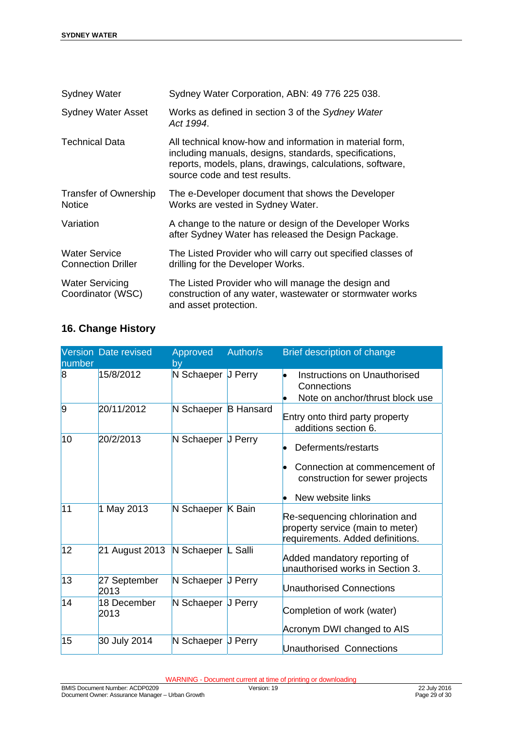| <b>Sydney Water</b>                               | Sydney Water Corporation, ABN: 49 776 225 038.                                                                                                                                                                   |
|---------------------------------------------------|------------------------------------------------------------------------------------------------------------------------------------------------------------------------------------------------------------------|
| <b>Sydney Water Asset</b>                         | Works as defined in section 3 of the Sydney Water<br>Act 1994.                                                                                                                                                   |
| Technical Data                                    | All technical know-how and information in material form,<br>including manuals, designs, standards, specifications,<br>reports, models, plans, drawings, calculations, software,<br>source code and test results. |
| <b>Transfer of Ownership</b><br><b>Notice</b>     | The e-Developer document that shows the Developer<br>Works are vested in Sydney Water.                                                                                                                           |
| Variation                                         | A change to the nature or design of the Developer Works<br>after Sydney Water has released the Design Package.                                                                                                   |
| <b>Water Service</b><br><b>Connection Driller</b> | The Listed Provider who will carry out specified classes of<br>drilling for the Developer Works.                                                                                                                 |
| <b>Water Servicing</b><br>Coordinator (WSC)       | The Listed Provider who will manage the design and<br>construction of any water, wastewater or stormwater works<br>and asset protection.                                                                         |

## **16. Change History**

| number         | <b>Version Date revised</b> | Approved<br>by       | Author/s       | Brief description of change                                                                                  |
|----------------|-----------------------------|----------------------|----------------|--------------------------------------------------------------------------------------------------------------|
| $\overline{8}$ | 15/8/2012                   | N Schaeper J Perry   |                | Instructions on Unauthorised<br>Connections<br>Note on anchor/thrust block use                               |
| $\overline{9}$ | 20/11/2012                  | N Schaeper B Hansard |                | Entry onto third party property<br>additions section 6.                                                      |
| 10             | 20/2/2013                   | N Schaeper           | <b>J</b> Perry | Deferments/restarts<br>Connection at commencement of<br>construction for sewer projects<br>New website links |
| 111            | 1 May 2013                  | N Schaeper K Bain    |                | Re-sequencing chlorination and<br>property service (main to meter)<br>requirements. Added definitions.       |
| 12             | 21 August 2013              | N Schaeper L Salli   |                | Added mandatory reporting of<br>unauthorised works in Section 3.                                             |
| 13             | 27 September<br>2013        | N Schaeper           | <b>J</b> Perry | <b>Unauthorised Connections</b>                                                                              |
| 14             | 18 December<br>2013         | N Schaeper J Perry   |                | Completion of work (water)<br>Acronym DWI changed to AIS                                                     |
| 15             | 30 July 2014                | N Schaeper J Perry   |                | Unauthorised Connections                                                                                     |